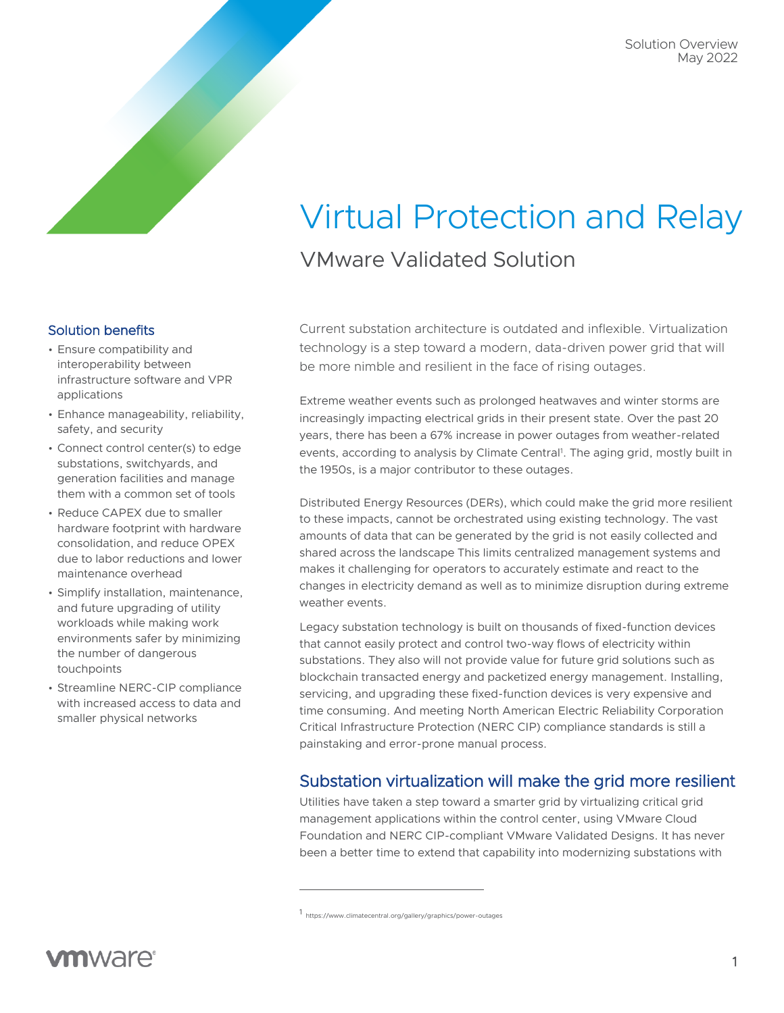# Virtual Protection and Relay VMware Validated Solution

#### Solution benefits

- Ensure compatibility and interoperability between infrastructure software and VPR applications
- Enhance manageability, reliability, safety, and security
- Connect control center(s) to edge substations, switchyards, and generation facilities and manage them with a common set of tools
- Reduce CAPEX due to smaller hardware footprint with hardware consolidation, and reduce OPEX due to labor reductions and lower maintenance overhead
- Simplify installation, maintenance, and future upgrading of utility workloads while making work environments safer by minimizing the number of dangerous touchpoints
- Streamline NERC-CIP compliance with increased access to data and smaller physical networks

Current substation architecture is outdated and inflexible. Virtualization technology is a step toward a modern, data-driven power grid that will be more nimble and resilient in the face of rising outages.

Extreme weather events such as prolonged heatwaves and winter storms are increasingly impacting electrical grids in their present state. Over the past 20 years, there has been a 67% increase in power outages from weather-related events, according to analysis by Climate Central<sup>1</sup>. The aging grid, mostly built in the 1950s, is a major contributor to these outages.

Distributed Energy Resources (DERs), which could make the grid more resilient to these impacts, cannot be orchestrated using existing technology. The vast amounts of data that can be generated by the grid is not easily collected and shared across the landscape This limits centralized management systems and makes it challenging for operators to accurately estimate and react to the changes in electricity demand as well as to minimize disruption during extreme weather events.

Legacy substation technology is built on thousands of fixed-function devices that cannot easily protect and control two-way flows of electricity within substations. They also will not provide value for future grid solutions such as blockchain transacted energy and packetized energy management. Installing, servicing, and upgrading these fixed-function devices is very expensive and time consuming. And meeting North American Electric Reliability Corporation Critical Infrastructure Protection (NERC CIP) compliance standards is still a painstaking and error-prone manual process.

## Substation virtualization will make the grid more resilient

Utilities have taken a step toward a smarter grid by virtualizing critical grid management applications within the control center, using VMware Cloud Foundation and NERC CIP-compliant VMware Validated Designs. It has never been a better time to extend that capability into modernizing substations with

<sup>1</sup> https://www.climatecentral.org/gallery/graphics/power-outages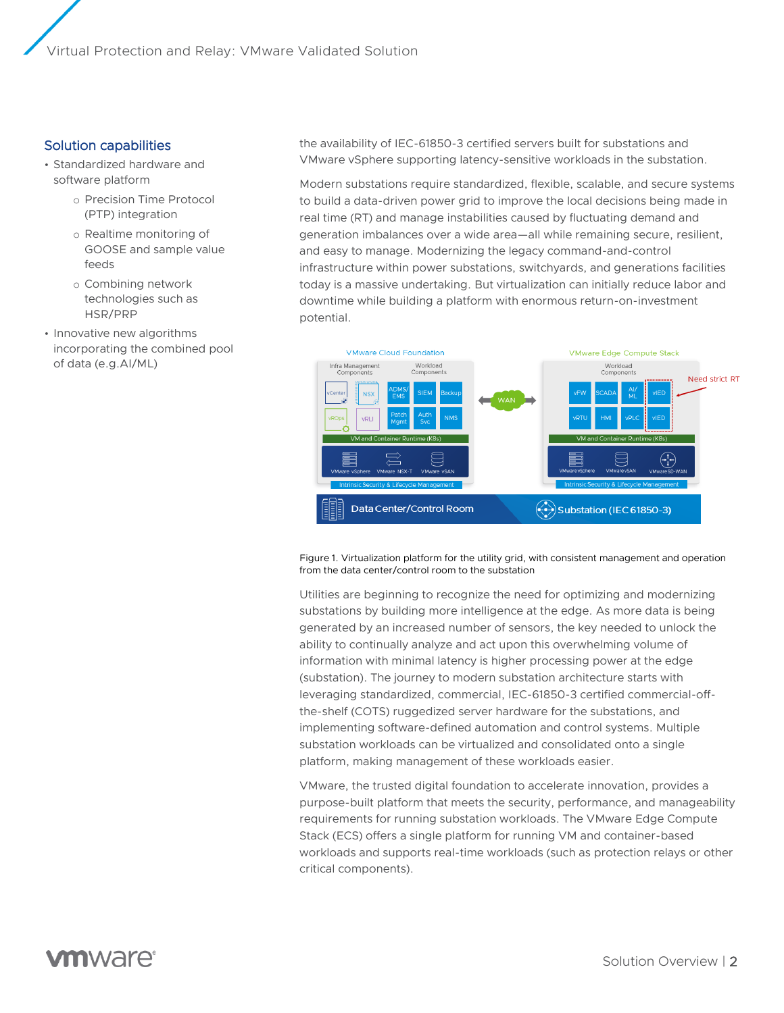Virtual Protection and Relay: VMware Validated Solution

#### Solution capabilities

- Standardized hardware and software platform
	- o Precision Time Protocol (PTP) integration
	- o Realtime monitoring of GOOSE and sample value feeds
	- o Combining network technologies such as HSR/PRP
- Innovative new algorithms incorporating the combined pool of data (e.g.AI/ML)

the availability of IEC-61850-3 certified servers built for substations and VMware vSphere supporting latency-sensitive workloads in the substation.

Modern substations require standardized, flexible, scalable, and secure systems to build a data-driven power grid to improve the local decisions being made in real time (RT) and manage instabilities caused by fluctuating demand and generation imbalances over a wide area—all while remaining secure, resilient, and easy to manage. Modernizing the legacy command-and-control infrastructure within power substations, switchyards, and generations facilities today is a massive undertaking. But virtualization can initially reduce labor and downtime while building a platform with enormous return-on-investment potential.



#### Figure 1. Virtualization platform for the utility grid, with consistent management and operation from the data center/control room to the substation

Utilities are beginning to recognize the need for optimizing and modernizing substations by building more intelligence at the edge. As more data is being generated by an increased number of sensors, the key needed to unlock the ability to continually analyze and act upon this overwhelming volume of information with minimal latency is higher processing power at the edge (substation). The journey to modern substation architecture starts with leveraging standardized, commercial, IEC-61850-3 certified commercial-offthe-shelf (COTS) ruggedized server hardware for the substations, and implementing software-defined automation and control systems. Multiple substation workloads can be virtualized and consolidated onto a single platform, making management of these workloads easier.

VMware, the trusted digital foundation to accelerate innovation, provides a purpose-built platform that meets the security, performance, and manageability requirements for running substation workloads. The VMware Edge Compute Stack (ECS) offers a single platform for running VM and container-based workloads and supports real-time workloads (such as protection relays or other critical components).

# **vm**ware<sup>®</sup>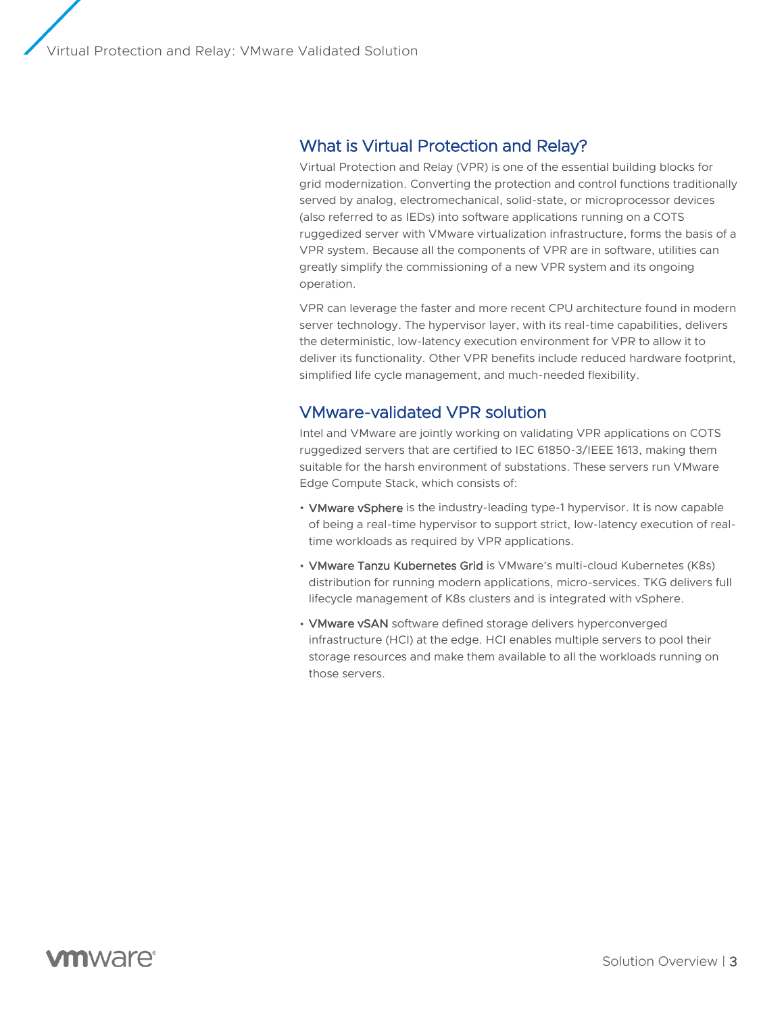## What is Virtual Protection and Relay?

Virtual Protection and Relay (VPR) is one of the essential building blocks for grid modernization. Converting the protection and control functions traditionally served by analog, electromechanical, solid-state, or microprocessor devices (also referred to as IEDs) into software applications running on a COTS ruggedized server with VMware virtualization infrastructure, forms the basis of a VPR system. Because all the components of VPR are in software, utilities can greatly simplify the commissioning of a new VPR system and its ongoing operation.

VPR can leverage the faster and more recent CPU architecture found in modern server technology. The hypervisor layer, with its real-time capabilities, delivers the deterministic, low-latency execution environment for VPR to allow it to deliver its functionality. Other VPR benefits include reduced hardware footprint, simplified life cycle management, and much-needed flexibility.

## VMware-validated VPR solution

Intel and VMware are jointly working on validating VPR applications on COTS ruggedized servers that are certified to IEC 61850-3/IEEE 1613, making them suitable for the harsh environment of substations. These servers run VMware Edge Compute Stack, which consists of:

- VMware vSphere is the industry-leading type-1 hypervisor. It is now capable of being a real-time hypervisor to support strict, low-latency execution of realtime workloads as required by VPR applications.
- **VMware Tanzu Kubernetes Grid** is VMware's multi-cloud Kubernetes (K8s) distribution for running modern applications, micro-services. TKG delivers full lifecycle management of K8s clusters and is integrated with vSphere.
- VMware vSAN software defined storage delivers hyperconverged infrastructure (HCI) at the edge. HCI enables multiple servers to pool their storage resources and make them available to all the workloads running on those servers.

## **vm**ware<sup>®</sup>